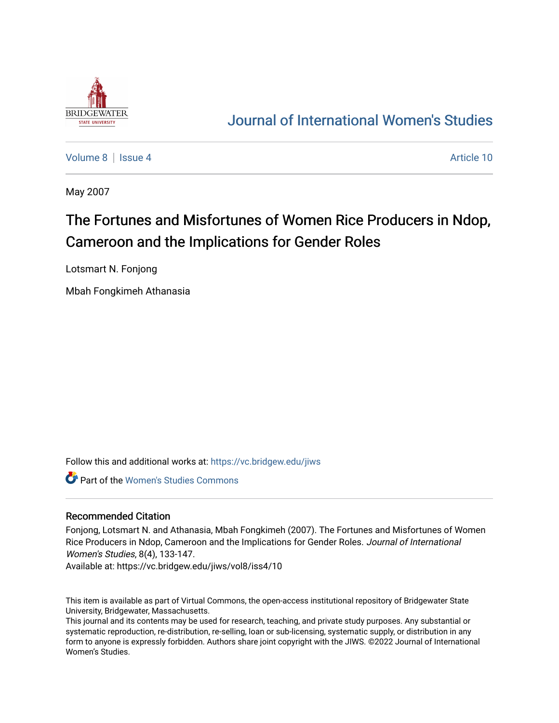

# [Journal of International Women's Studies](https://vc.bridgew.edu/jiws)

[Volume 8](https://vc.bridgew.edu/jiws/vol8) | [Issue 4](https://vc.bridgew.edu/jiws/vol8/iss4) Article 10

May 2007

# The Fortunes and Misfortunes of Women Rice Producers in Ndop, Cameroon and the Implications for Gender Roles

Lotsmart N. Fonjong

Mbah Fongkimeh Athanasia

Follow this and additional works at: [https://vc.bridgew.edu/jiws](https://vc.bridgew.edu/jiws?utm_source=vc.bridgew.edu%2Fjiws%2Fvol8%2Fiss4%2F10&utm_medium=PDF&utm_campaign=PDFCoverPages)

Part of the [Women's Studies Commons](http://network.bepress.com/hgg/discipline/561?utm_source=vc.bridgew.edu%2Fjiws%2Fvol8%2Fiss4%2F10&utm_medium=PDF&utm_campaign=PDFCoverPages) 

#### Recommended Citation

Fonjong, Lotsmart N. and Athanasia, Mbah Fongkimeh (2007). The Fortunes and Misfortunes of Women Rice Producers in Ndop, Cameroon and the Implications for Gender Roles. Journal of International Women's Studies, 8(4), 133-147.

Available at: https://vc.bridgew.edu/jiws/vol8/iss4/10

This item is available as part of Virtual Commons, the open-access institutional repository of Bridgewater State University, Bridgewater, Massachusetts.

This journal and its contents may be used for research, teaching, and private study purposes. Any substantial or systematic reproduction, re-distribution, re-selling, loan or sub-licensing, systematic supply, or distribution in any form to anyone is expressly forbidden. Authors share joint copyright with the JIWS. ©2022 Journal of International Women's Studies.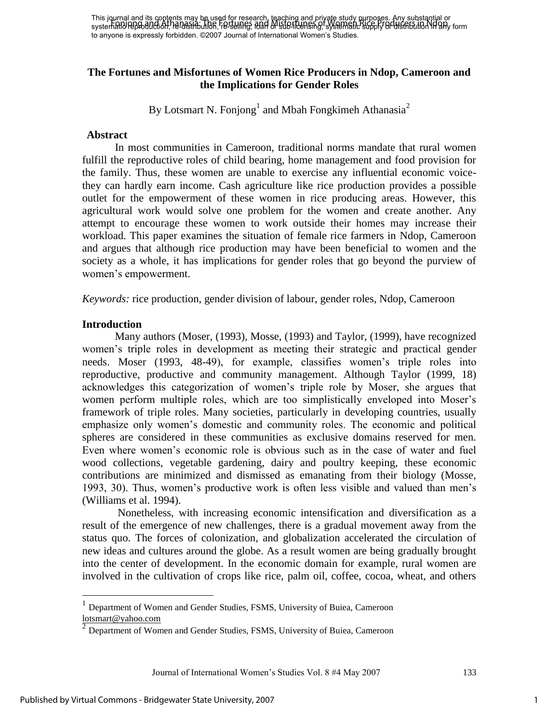This journal and its contents may be used for research, teaching and private study purposes. Any substantial or This journal and his distribution in the Fortunes and Misfortung and protocomes and Rice Producers in Substantin or<br>systemativePpBauction, he rastribution, Ferseling, PDA Misfortuensing, systematic supply or distribution i to anyone is expressly forbidden. ©2007 Journal of International Women's Studies.

## **The Fortunes and Misfortunes of Women Rice Producers in Ndop, Cameroon and the Implications for Gender Roles**

By Lotsmart N. Fonjong<sup>1</sup> and Mbah Fongkimeh Athanasia<sup>2</sup>

#### **Abstract**

In most communities in Cameroon, traditional norms mandate that rural women fulfill the reproductive roles of child bearing, home management and food provision for the family. Thus, these women are unable to exercise any influential economic voicethey can hardly earn income. Cash agriculture like rice production provides a possible outlet for the empowerment of these women in rice producing areas. However, this agricultural work would solve one problem for the women and create another. Any attempt to encourage these women to work outside their homes may increase their workload. This paper examines the situation of female rice farmers in Ndop, Cameroon and argues that although rice production may have been beneficial to women and the society as a whole, it has implications for gender roles that go beyond the purview of women"s empowerment.

*Keywords:* rice production, gender division of labour, gender roles, Ndop, Cameroon

#### **Introduction**

 $\overline{a}$ 

Many authors (Moser, (1993), Mosse, (1993) and Taylor, (1999), have recognized women"s triple roles in development as meeting their strategic and practical gender needs. Moser (1993, 48-49), for example, classifies women"s triple roles into reproductive, productive and community management. Although Taylor (1999, 18) acknowledges this categorization of women"s triple role by Moser, she argues that women perform multiple roles, which are too simplistically enveloped into Moser"s framework of triple roles. Many societies, particularly in developing countries, usually emphasize only women"s domestic and community roles. The economic and political spheres are considered in these communities as exclusive domains reserved for men. Even where women"s economic role is obvious such as in the case of water and fuel wood collections, vegetable gardening, dairy and poultry keeping, these economic contributions are minimized and dismissed as emanating from their biology (Mosse, 1993, 30). Thus, women"s productive work is often less visible and valued than men"s (Williams et al. 1994).

Nonetheless, with increasing economic intensification and diversification as a result of the emergence of new challenges, there is a gradual movement away from the status quo. The forces of colonization, and globalization accelerated the circulation of new ideas and cultures around the globe. As a result women are being gradually brought into the center of development. In the economic domain for example, rural women are involved in the cultivation of crops like rice, palm oil, coffee, cocoa, wheat, and others

<sup>1</sup> Department of Women and Gender Studies, FSMS, University of Buiea, Cameroon [lotsmart@yahoo.com](mailto:lotsmart@yahoo.com)

<sup>2</sup> Department of Women and Gender Studies, FSMS, University of Buiea, Cameroon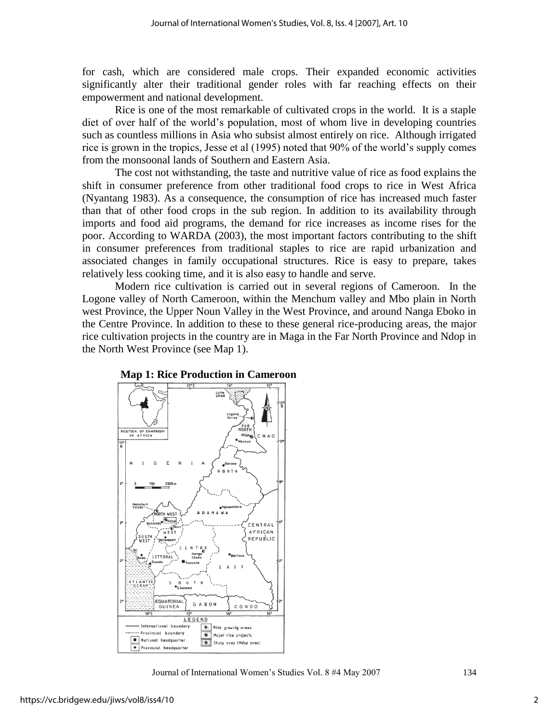for cash, which are considered male crops. Their expanded economic activities significantly alter their traditional gender roles with far reaching effects on their empowerment and national development.

Rice is one of the most remarkable of cultivated crops in the world. It is a staple diet of over half of the world's population, most of whom live in developing countries such as countless millions in Asia who subsist almost entirely on rice. Although irrigated rice is grown in the tropics, Jesse et al (1995) noted that 90% of the world"s supply comes from the monsoonal lands of Southern and Eastern Asia.

 The cost not withstanding, the taste and nutritive value of rice as food explains the shift in consumer preference from other traditional food crops to rice in West Africa (Nyantang 1983). As a consequence, the consumption of rice has increased much faster than that of other food crops in the sub region. In addition to its availability through imports and food aid programs, the demand for rice increases as income rises for the poor. According to WARDA (2003), the most important factors contributing to the shift in consumer preferences from traditional staples to rice are rapid urbanization and associated changes in family occupational structures. Rice is easy to prepare, takes relatively less cooking time, and it is also easy to handle and serve.

Modern rice cultivation is carried out in several regions of Cameroon. In the Logone valley of North Cameroon, within the Menchum valley and Mbo plain in North west Province, the Upper Noun Valley in the West Province, and around Nanga Eboko in the Centre Province. In addition to these to these general rice-producing areas, the major rice cultivation projects in the country are in Maga in the Far North Province and Ndop in the North West Province (see Map 1).



#### **Map 1: Rice Production in Cameroon**

Journal of International Women"s Studies Vol. 8 #4 May 2007 134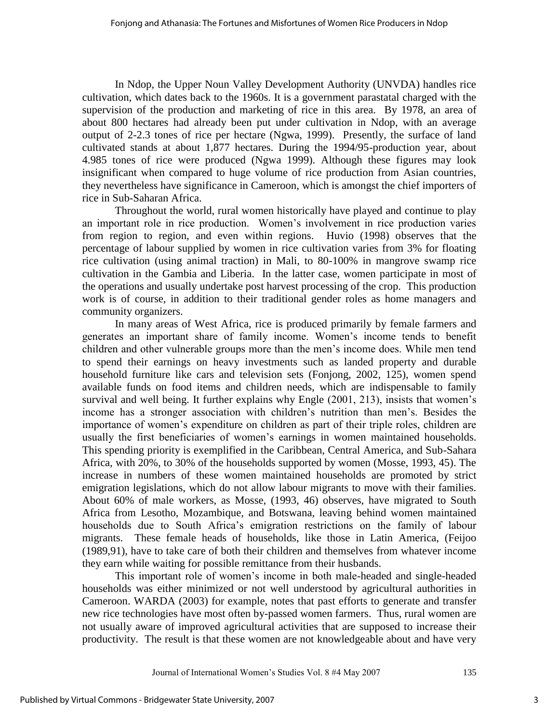In Ndop, the Upper Noun Valley Development Authority (UNVDA) handles rice cultivation, which dates back to the 1960s. It is a government parastatal charged with the supervision of the production and marketing of rice in this area. By 1978, an area of about 800 hectares had already been put under cultivation in Ndop, with an average output of 2-2.3 tones of rice per hectare (Ngwa, 1999). Presently, the surface of land cultivated stands at about 1,877 hectares. During the 1994/95-production year, about 4.985 tones of rice were produced (Ngwa 1999). Although these figures may look insignificant when compared to huge volume of rice production from Asian countries, they nevertheless have significance in Cameroon, which is amongst the chief importers of rice in Sub-Saharan Africa.

 Throughout the world, rural women historically have played and continue to play an important role in rice production. Women"s involvement in rice production varies from region to region, and even within regions. Huvio (1998) observes that the percentage of labour supplied by women in rice cultivation varies from 3% for floating rice cultivation (using animal traction) in Mali, to 80-100% in mangrove swamp rice cultivation in the Gambia and Liberia. In the latter case, women participate in most of the operations and usually undertake post harvest processing of the crop. This production work is of course, in addition to their traditional gender roles as home managers and community organizers.

 In many areas of West Africa, rice is produced primarily by female farmers and generates an important share of family income. Women"s income tends to benefit children and other vulnerable groups more than the men"s income does. While men tend to spend their earnings on heavy investments such as landed property and durable household furniture like cars and television sets (Fonjong, 2002, 125), women spend available funds on food items and children needs, which are indispensable to family survival and well being. It further explains why Engle (2001, 213), insists that women's income has a stronger association with children"s nutrition than men"s. Besides the importance of women"s expenditure on children as part of their triple roles, children are usually the first beneficiaries of women"s earnings in women maintained households. This spending priority is exemplified in the Caribbean, Central America, and Sub-Sahara Africa, with 20%, to 30% of the households supported by women (Mosse, 1993, 45). The increase in numbers of these women maintained households are promoted by strict emigration legislations, which do not allow labour migrants to move with their families. About 60% of male workers, as Mosse, (1993, 46) observes, have migrated to South Africa from Lesotho, Mozambique, and Botswana, leaving behind women maintained households due to South Africa's emigration restrictions on the family of labour migrants. These female heads of households, like those in Latin America, (Feijoo (1989,91), have to take care of both their children and themselves from whatever income they earn while waiting for possible remittance from their husbands.

This important role of women"s income in both male-headed and single-headed households was either minimized or not well understood by agricultural authorities in Cameroon. WARDA (2003) for example, notes that past efforts to generate and transfer new rice technologies have most often by-passed women farmers. Thus, rural women are not usually aware of improved agricultural activities that are supposed to increase their productivity. The result is that these women are not knowledgeable about and have very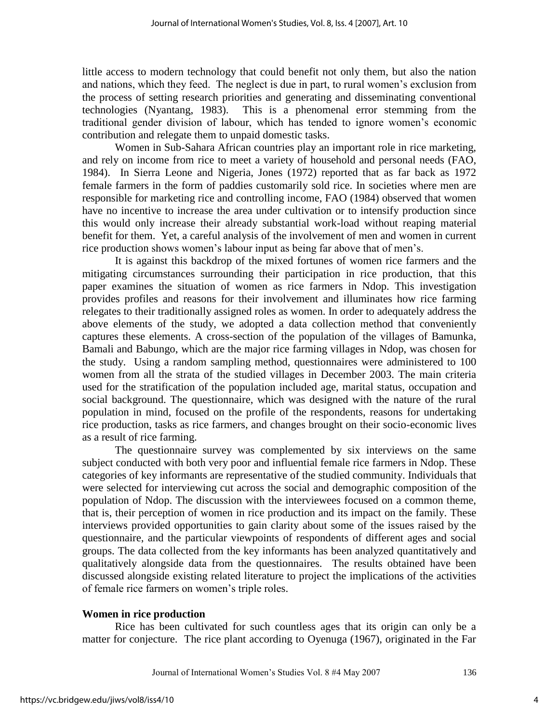little access to modern technology that could benefit not only them, but also the nation and nations, which they feed. The neglect is due in part, to rural women"s exclusion from the process of setting research priorities and generating and disseminating conventional technologies (Nyantang, 1983). This is a phenomenal error stemming from the traditional gender division of labour, which has tended to ignore women"s economic contribution and relegate them to unpaid domestic tasks.

 Women in Sub-Sahara African countries play an important role in rice marketing, and rely on income from rice to meet a variety of household and personal needs (FAO, 1984). In Sierra Leone and Nigeria, Jones (1972) reported that as far back as 1972 female farmers in the form of paddies customarily sold rice. In societies where men are responsible for marketing rice and controlling income, FAO (1984) observed that women have no incentive to increase the area under cultivation or to intensify production since this would only increase their already substantial work-load without reaping material benefit for them. Yet, a careful analysis of the involvement of men and women in current rice production shows women's labour input as being far above that of men's.

It is against this backdrop of the mixed fortunes of women rice farmers and the mitigating circumstances surrounding their participation in rice production, that this paper examines the situation of women as rice farmers in Ndop. This investigation provides profiles and reasons for their involvement and illuminates how rice farming relegates to their traditionally assigned roles as women. In order to adequately address the above elements of the study, we adopted a data collection method that conveniently captures these elements. A cross-section of the population of the villages of Bamunka, Bamali and Babungo, which are the major rice farming villages in Ndop, was chosen for the study. Using a random sampling method, questionnaires were administered to 100 women from all the strata of the studied villages in December 2003. The main criteria used for the stratification of the population included age, marital status, occupation and social background. The questionnaire, which was designed with the nature of the rural population in mind, focused on the profile of the respondents, reasons for undertaking rice production, tasks as rice farmers, and changes brought on their socio-economic lives as a result of rice farming.

The questionnaire survey was complemented by six interviews on the same subject conducted with both very poor and influential female rice farmers in Ndop. These categories of key informants are representative of the studied community. Individuals that were selected for interviewing cut across the social and demographic composition of the population of Ndop. The discussion with the interviewees focused on a common theme, that is, their perception of women in rice production and its impact on the family. These interviews provided opportunities to gain clarity about some of the issues raised by the questionnaire, and the particular viewpoints of respondents of different ages and social groups. The data collected from the key informants has been analyzed quantitatively and qualitatively alongside data from the questionnaires. The results obtained have been discussed alongside existing related literature to project the implications of the activities of female rice farmers on women"s triple roles.

#### **Women in rice production**

 Rice has been cultivated for such countless ages that its origin can only be a matter for conjecture. The rice plant according to Oyenuga (1967), originated in the Far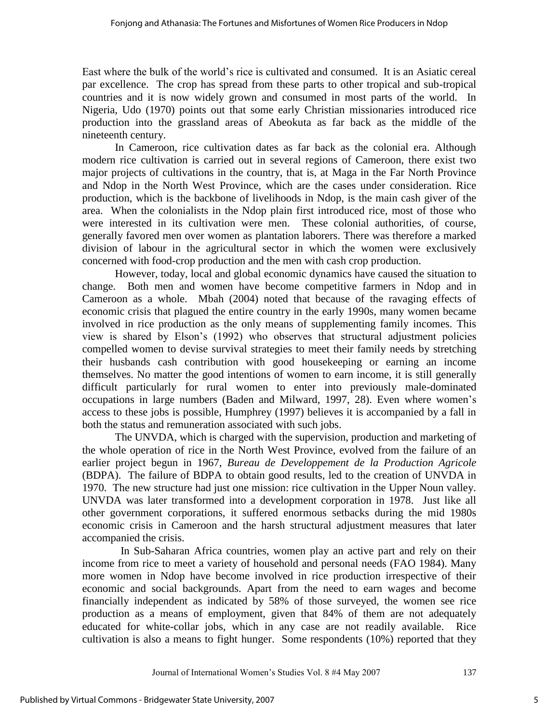East where the bulk of the world"s rice is cultivated and consumed. It is an Asiatic cereal par excellence. The crop has spread from these parts to other tropical and sub-tropical countries and it is now widely grown and consumed in most parts of the world. In Nigeria, Udo (1970) points out that some early Christian missionaries introduced rice production into the grassland areas of Abeokuta as far back as the middle of the nineteenth century.

In Cameroon, rice cultivation dates as far back as the colonial era. Although modern rice cultivation is carried out in several regions of Cameroon, there exist two major projects of cultivations in the country, that is, at Maga in the Far North Province and Ndop in the North West Province, which are the cases under consideration. Rice production, which is the backbone of livelihoods in Ndop, is the main cash giver of the area. When the colonialists in the Ndop plain first introduced rice, most of those who were interested in its cultivation were men. These colonial authorities, of course, generally favored men over women as plantation laborers. There was therefore a marked division of labour in the agricultural sector in which the women were exclusively concerned with food-crop production and the men with cash crop production.

However, today, local and global economic dynamics have caused the situation to change. Both men and women have become competitive farmers in Ndop and in Cameroon as a whole. Mbah (2004) noted that because of the ravaging effects of economic crisis that plagued the entire country in the early 1990s, many women became involved in rice production as the only means of supplementing family incomes. This view is shared by Elson"s (1992) who observes that structural adjustment policies compelled women to devise survival strategies to meet their family needs by stretching their husbands cash contribution with good housekeeping or earning an income themselves. No matter the good intentions of women to earn income, it is still generally difficult particularly for rural women to enter into previously male-dominated occupations in large numbers (Baden and Milward, 1997, 28). Even where women"s access to these jobs is possible, Humphrey (1997) believes it is accompanied by a fall in both the status and remuneration associated with such jobs.

The UNVDA, which is charged with the supervision, production and marketing of the whole operation of rice in the North West Province, evolved from the failure of an earlier project begun in 1967, *Bureau de Developpement de la Production Agricole* (BDPA). The failure of BDPA to obtain good results, led to the creation of UNVDA in 1970. The new structure had just one mission: rice cultivation in the Upper Noun valley. UNVDA was later transformed into a development corporation in 1978. Just like all other government corporations, it suffered enormous setbacks during the mid 1980s economic crisis in Cameroon and the harsh structural adjustment measures that later accompanied the crisis.

 In Sub-Saharan Africa countries, women play an active part and rely on their income from rice to meet a variety of household and personal needs (FAO 1984). Many more women in Ndop have become involved in rice production irrespective of their economic and social backgrounds. Apart from the need to earn wages and become financially independent as indicated by 58% of those surveyed, the women see rice production as a means of employment, given that 84% of them are not adequately educated for white-collar jobs, which in any case are not readily available. Rice cultivation is also a means to fight hunger. Some respondents (10%) reported that they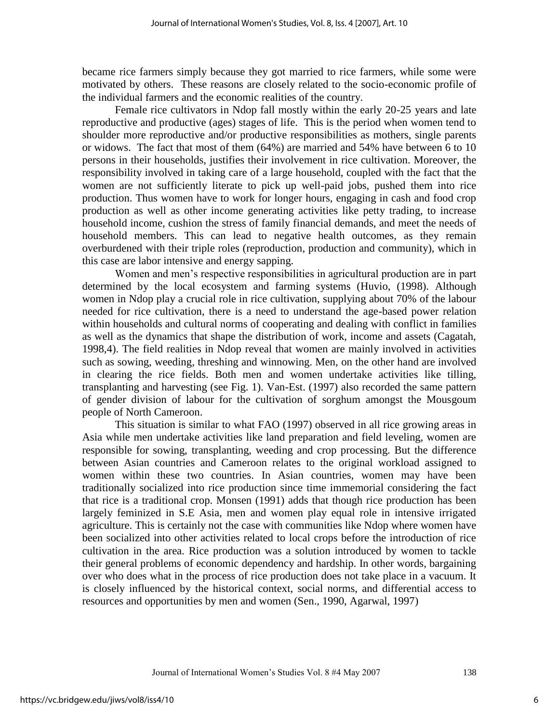became rice farmers simply because they got married to rice farmers, while some were motivated by others. These reasons are closely related to the socio-economic profile of the individual farmers and the economic realities of the country.

 Female rice cultivators in Ndop fall mostly within the early 20-25 years and late reproductive and productive (ages) stages of life. This is the period when women tend to shoulder more reproductive and/or productive responsibilities as mothers, single parents or widows. The fact that most of them (64%) are married and 54% have between 6 to 10 persons in their households, justifies their involvement in rice cultivation. Moreover, the responsibility involved in taking care of a large household, coupled with the fact that the women are not sufficiently literate to pick up well-paid jobs, pushed them into rice production. Thus women have to work for longer hours, engaging in cash and food crop production as well as other income generating activities like petty trading, to increase household income, cushion the stress of family financial demands, and meet the needs of household members. This can lead to negative health outcomes, as they remain overburdened with their triple roles (reproduction, production and community), which in this case are labor intensive and energy sapping.

Women and men"s respective responsibilities in agricultural production are in part determined by the local ecosystem and farming systems (Huvio, (1998). Although women in Ndop play a crucial role in rice cultivation, supplying about 70% of the labour needed for rice cultivation, there is a need to understand the age-based power relation within households and cultural norms of cooperating and dealing with conflict in families as well as the dynamics that shape the distribution of work, income and assets (Cagatah, 1998,4). The field realities in Ndop reveal that women are mainly involved in activities such as sowing, weeding, threshing and winnowing. Men, on the other hand are involved in clearing the rice fields. Both men and women undertake activities like tilling, transplanting and harvesting (see Fig. 1). Van-Est. (1997) also recorded the same pattern of gender division of labour for the cultivation of sorghum amongst the Mousgoum people of North Cameroon.

 This situation is similar to what FAO (1997) observed in all rice growing areas in Asia while men undertake activities like land preparation and field leveling, women are responsible for sowing, transplanting, weeding and crop processing. But the difference between Asian countries and Cameroon relates to the original workload assigned to women within these two countries. In Asian countries, women may have been traditionally socialized into rice production since time immemorial considering the fact that rice is a traditional crop. Monsen (1991) adds that though rice production has been largely feminized in S.E Asia, men and women play equal role in intensive irrigated agriculture. This is certainly not the case with communities like Ndop where women have been socialized into other activities related to local crops before the introduction of rice cultivation in the area. Rice production was a solution introduced by women to tackle their general problems of economic dependency and hardship. In other words, bargaining over who does what in the process of rice production does not take place in a vacuum. It is closely influenced by the historical context, social norms, and differential access to resources and opportunities by men and women (Sen., 1990, Agarwal, 1997)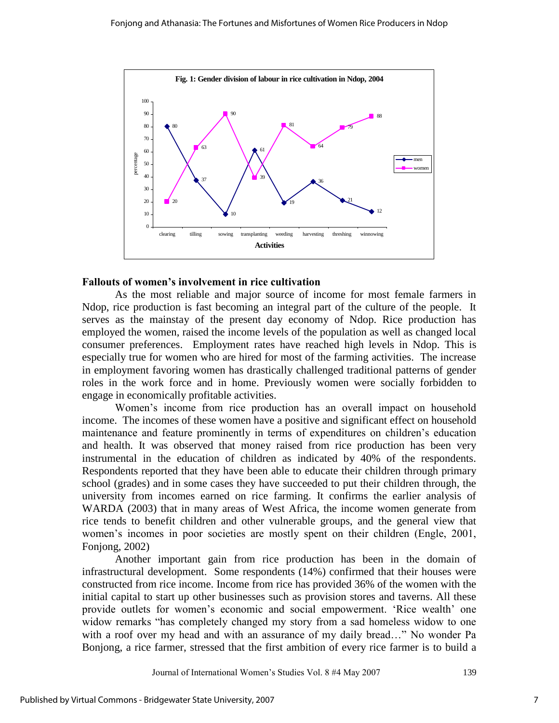

#### **Fallouts of women's involvement in rice cultivation**

 As the most reliable and major source of income for most female farmers in Ndop, rice production is fast becoming an integral part of the culture of the people. It serves as the mainstay of the present day economy of Ndop. Rice production has employed the women, raised the income levels of the population as well as changed local consumer preferences. Employment rates have reached high levels in Ndop. This is especially true for women who are hired for most of the farming activities. The increase in employment favoring women has drastically challenged traditional patterns of gender roles in the work force and in home. Previously women were socially forbidden to engage in economically profitable activities.

Women's income from rice production has an overall impact on household income. The incomes of these women have a positive and significant effect on household maintenance and feature prominently in terms of expenditures on children"s education and health. It was observed that money raised from rice production has been very instrumental in the education of children as indicated by 40% of the respondents. Respondents reported that they have been able to educate their children through primary school (grades) and in some cases they have succeeded to put their children through, the university from incomes earned on rice farming. It confirms the earlier analysis of WARDA (2003) that in many areas of West Africa, the income women generate from rice tends to benefit children and other vulnerable groups, and the general view that women's incomes in poor societies are mostly spent on their children (Engle, 2001, Fonjong, 2002)

 Another important gain from rice production has been in the domain of infrastructural development. Some respondents (14%) confirmed that their houses were constructed from rice income. Income from rice has provided 36% of the women with the initial capital to start up other businesses such as provision stores and taverns. All these provide outlets for women"s economic and social empowerment. "Rice wealth" one widow remarks "has completely changed my story from a sad homeless widow to one with a roof over my head and with an assurance of my daily bread..." No wonder Pa Bonjong, a rice farmer, stressed that the first ambition of every rice farmer is to build a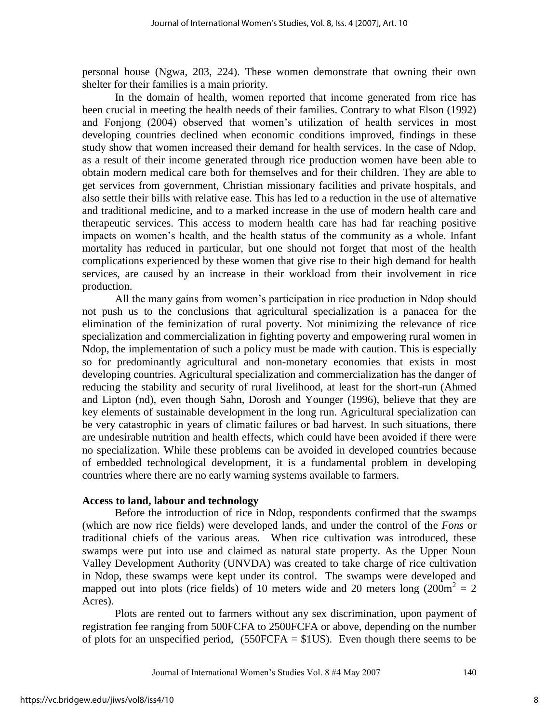personal house (Ngwa, 203, 224). These women demonstrate that owning their own shelter for their families is a main priority.

In the domain of health, women reported that income generated from rice has been crucial in meeting the health needs of their families. Contrary to what Elson (1992) and Fonjong (2004) observed that women"s utilization of health services in most developing countries declined when economic conditions improved, findings in these study show that women increased their demand for health services. In the case of Ndop, as a result of their income generated through rice production women have been able to obtain modern medical care both for themselves and for their children. They are able to get services from government, Christian missionary facilities and private hospitals, and also settle their bills with relative ease. This has led to a reduction in the use of alternative and traditional medicine, and to a marked increase in the use of modern health care and therapeutic services. This access to modern health care has had far reaching positive impacts on women"s health, and the health status of the community as a whole. Infant mortality has reduced in particular, but one should not forget that most of the health complications experienced by these women that give rise to their high demand for health services, are caused by an increase in their workload from their involvement in rice production.

All the many gains from women"s participation in rice production in Ndop should not push us to the conclusions that agricultural specialization is a panacea for the elimination of the feminization of rural poverty. Not minimizing the relevance of rice specialization and commercialization in fighting poverty and empowering rural women in Ndop, the implementation of such a policy must be made with caution. This is especially so for predominantly agricultural and non-monetary economies that exists in most developing countries. Agricultural specialization and commercialization has the danger of reducing the stability and security of rural livelihood, at least for the short-run (Ahmed and Lipton (nd), even though Sahn, Dorosh and Younger (1996), believe that they are key elements of sustainable development in the long run. Agricultural specialization can be very catastrophic in years of climatic failures or bad harvest. In such situations, there are undesirable nutrition and health effects, which could have been avoided if there were no specialization. While these problems can be avoided in developed countries because of embedded technological development, it is a fundamental problem in developing countries where there are no early warning systems available to farmers.

#### **Access to land, labour and technology**

 Before the introduction of rice in Ndop, respondents confirmed that the swamps (which are now rice fields) were developed lands, and under the control of the *Fons* or traditional chiefs of the various areas. When rice cultivation was introduced, these swamps were put into use and claimed as natural state property. As the Upper Noun Valley Development Authority (UNVDA) was created to take charge of rice cultivation in Ndop, these swamps were kept under its control. The swamps were developed and mapped out into plots (rice fields) of 10 meters wide and 20 meters long  $(200m^2 = 2$ Acres).

 Plots are rented out to farmers without any sex discrimination, upon payment of registration fee ranging from 500FCFA to 2500FCFA or above, depending on the number of plots for an unspecified period,  $(550FCFA = $1US)$ . Even though there seems to be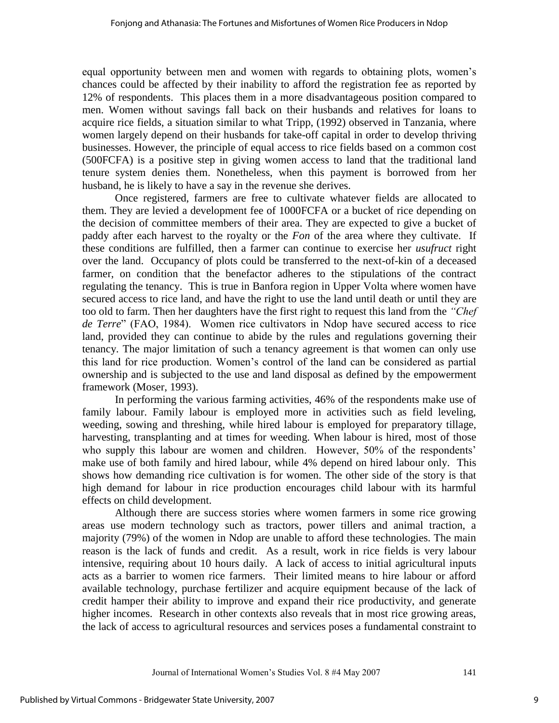equal opportunity between men and women with regards to obtaining plots, women"s chances could be affected by their inability to afford the registration fee as reported by 12% of respondents. This places them in a more disadvantageous position compared to men. Women without savings fall back on their husbands and relatives for loans to acquire rice fields, a situation similar to what Tripp, (1992) observed in Tanzania, where women largely depend on their husbands for take-off capital in order to develop thriving businesses. However, the principle of equal access to rice fields based on a common cost (500FCFA) is a positive step in giving women access to land that the traditional land tenure system denies them. Nonetheless, when this payment is borrowed from her husband, he is likely to have a say in the revenue she derives.

 Once registered, farmers are free to cultivate whatever fields are allocated to them. They are levied a development fee of 1000FCFA or a bucket of rice depending on the decision of committee members of their area. They are expected to give a bucket of paddy after each harvest to the royalty or the *Fon* of the area where they cultivate. If these conditions are fulfilled, then a farmer can continue to exercise her *usufruct* right over the land. Occupancy of plots could be transferred to the next-of-kin of a deceased farmer, on condition that the benefactor adheres to the stipulations of the contract regulating the tenancy. This is true in Banfora region in Upper Volta where women have secured access to rice land, and have the right to use the land until death or until they are too old to farm. Then her daughters have the first right to request this land from the *"Chef de Terre*" (FAO, 1984). Women rice cultivators in Ndop have secured access to rice land, provided they can continue to abide by the rules and regulations governing their tenancy. The major limitation of such a tenancy agreement is that women can only use this land for rice production. Women"s control of the land can be considered as partial ownership and is subjected to the use and land disposal as defined by the empowerment framework (Moser, 1993).

 In performing the various farming activities, 46% of the respondents make use of family labour. Family labour is employed more in activities such as field leveling, weeding, sowing and threshing, while hired labour is employed for preparatory tillage, harvesting, transplanting and at times for weeding. When labour is hired, most of those who supply this labour are women and children. However, 50% of the respondents' make use of both family and hired labour, while 4% depend on hired labour only. This shows how demanding rice cultivation is for women. The other side of the story is that high demand for labour in rice production encourages child labour with its harmful effects on child development.

 Although there are success stories where women farmers in some rice growing areas use modern technology such as tractors, power tillers and animal traction, a majority (79%) of the women in Ndop are unable to afford these technologies. The main reason is the lack of funds and credit. As a result, work in rice fields is very labour intensive, requiring about 10 hours daily. A lack of access to initial agricultural inputs acts as a barrier to women rice farmers. Their limited means to hire labour or afford available technology, purchase fertilizer and acquire equipment because of the lack of credit hamper their ability to improve and expand their rice productivity, and generate higher incomes. Research in other contexts also reveals that in most rice growing areas, the lack of access to agricultural resources and services poses a fundamental constraint to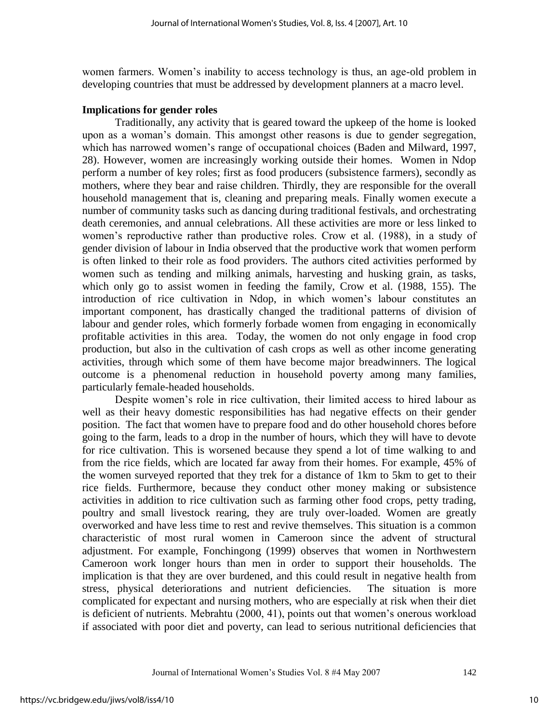women farmers. Women"s inability to access technology is thus, an age-old problem in developing countries that must be addressed by development planners at a macro level.

#### **Implications for gender roles**

 Traditionally, any activity that is geared toward the upkeep of the home is looked upon as a woman"s domain. This amongst other reasons is due to gender segregation, which has narrowed women's range of occupational choices (Baden and Milward, 1997, 28). However, women are increasingly working outside their homes. Women in Ndop perform a number of key roles; first as food producers (subsistence farmers), secondly as mothers, where they bear and raise children. Thirdly, they are responsible for the overall household management that is, cleaning and preparing meals. Finally women execute a number of community tasks such as dancing during traditional festivals, and orchestrating death ceremonies, and annual celebrations. All these activities are more or less linked to women's reproductive rather than productive roles. Crow et al. (1988), in a study of gender division of labour in India observed that the productive work that women perform is often linked to their role as food providers. The authors cited activities performed by women such as tending and milking animals, harvesting and husking grain, as tasks, which only go to assist women in feeding the family, Crow et al. (1988, 155). The introduction of rice cultivation in Ndop, in which women"s labour constitutes an important component, has drastically changed the traditional patterns of division of labour and gender roles, which formerly forbade women from engaging in economically profitable activities in this area. Today, the women do not only engage in food crop production, but also in the cultivation of cash crops as well as other income generating activities, through which some of them have become major breadwinners. The logical outcome is a phenomenal reduction in household poverty among many families, particularly female-headed households.

Despite women's role in rice cultivation, their limited access to hired labour as well as their heavy domestic responsibilities has had negative effects on their gender position. The fact that women have to prepare food and do other household chores before going to the farm, leads to a drop in the number of hours, which they will have to devote for rice cultivation. This is worsened because they spend a lot of time walking to and from the rice fields, which are located far away from their homes. For example, 45% of the women surveyed reported that they trek for a distance of 1km to 5km to get to their rice fields. Furthermore, because they conduct other money making or subsistence activities in addition to rice cultivation such as farming other food crops, petty trading, poultry and small livestock rearing, they are truly over-loaded. Women are greatly overworked and have less time to rest and revive themselves. This situation is a common characteristic of most rural women in Cameroon since the advent of structural adjustment. For example, Fonchingong (1999) observes that women in Northwestern Cameroon work longer hours than men in order to support their households. The implication is that they are over burdened, and this could result in negative health from stress, physical deteriorations and nutrient deficiencies. The situation is more complicated for expectant and nursing mothers, who are especially at risk when their diet is deficient of nutrients. Mebrahtu (2000, 41), points out that women"s onerous workload if associated with poor diet and poverty, can lead to serious nutritional deficiencies that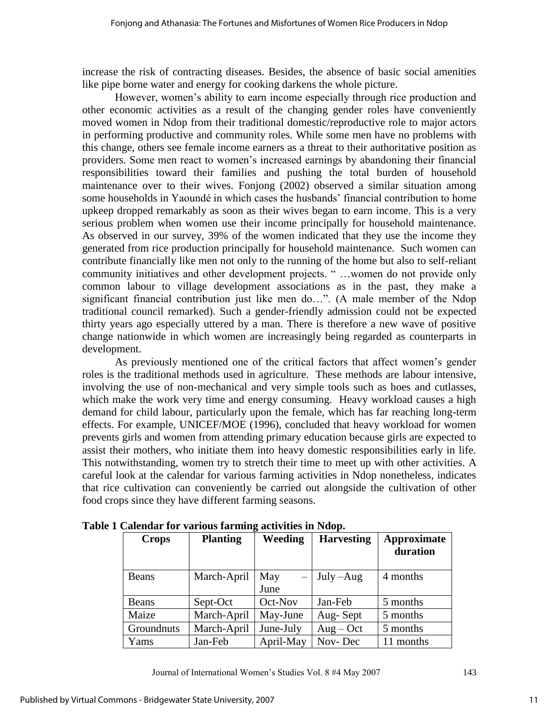increase the risk of contracting diseases. Besides, the absence of basic social amenities like pipe borne water and energy for cooking darkens the whole picture.

However, women"s ability to earn income especially through rice production and other economic activities as a result of the changing gender roles have conveniently moved women in Ndop from their traditional domestic/reproductive role to major actors in performing productive and community roles. While some men have no problems with this change, others see female income earners as a threat to their authoritative position as providers. Some men react to women"s increased earnings by abandoning their financial responsibilities toward their families and pushing the total burden of household maintenance over to their wives. Fonjong (2002) observed a similar situation among some households in Yaoundé in which cases the husbands" financial contribution to home upkeep dropped remarkably as soon as their wives began to earn income. This is a very serious problem when women use their income principally for household maintenance. As observed in our survey, 39% of the women indicated that they use the income they generated from rice production principally for household maintenance. Such women can contribute financially like men not only to the running of the home but also to self-reliant community initiatives and other development projects. " …women do not provide only common labour to village development associations as in the past, they make a significant financial contribution just like men do…". (A male member of the Ndop traditional council remarked). Such a gender-friendly admission could not be expected thirty years ago especially uttered by a man. There is therefore a new wave of positive change nationwide in which women are increasingly being regarded as counterparts in development.

 As previously mentioned one of the critical factors that affect women"s gender roles is the traditional methods used in agriculture. These methods are labour intensive, involving the use of non-mechanical and very simple tools such as hoes and cutlasses, which make the work very time and energy consuming. Heavy workload causes a high demand for child labour, particularly upon the female, which has far reaching long-term effects. For example, UNICEF/MOE (1996), concluded that heavy workload for women prevents girls and women from attending primary education because girls are expected to assist their mothers, who initiate them into heavy domestic responsibilities early in life. This notwithstanding, women try to stretch their time to meet up with other activities. A careful look at the calendar for various farming activities in Ndop nonetheless, indicates that rice cultivation can conveniently be carried out alongside the cultivation of other food crops since they have different farming seasons.

| <b>Crops</b> | <b>Planting</b> | <b>Weeding</b> | <b>Harvesting</b> | Approximate<br>duration |
|--------------|-----------------|----------------|-------------------|-------------------------|
|              |                 |                |                   |                         |
| Beans        | March-April     | May            | $July - Aug$      | 4 months                |
|              |                 | June           |                   |                         |
| Beans        | Sept-Oct        | Oct-Nov        | Jan-Feb           | 5 months                |
| Maize        | March-April     | May-June       | Aug-Sept          | 5 months                |
| Groundnuts   | March-April     | June-July      | $Aug - Oct$       | 5 months                |
| Yams         | Jan-Feb         | April-May      | Nov-Dec           | 11 months               |

**Table 1 Calendar for various farming activities in Ndop.**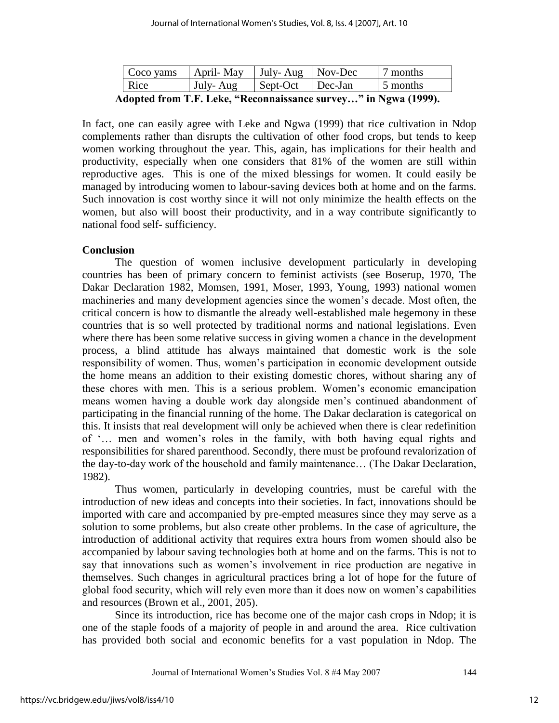|                                                                 | Coco yams | April-May                      | $\vert$ July-Aug $\vert$ Nov-Dec |  | 7 months             |  |  |
|-----------------------------------------------------------------|-----------|--------------------------------|----------------------------------|--|----------------------|--|--|
|                                                                 | Rice      | July- Aug   Sept-Oct   Dec-Jan |                                  |  | $\frac{1}{2}$ months |  |  |
| Adopted from T.F. Leke, "Reconnaissance survey" in Ngwa (1999). |           |                                |                                  |  |                      |  |  |

In fact, one can easily agree with Leke and Ngwa (1999) that rice cultivation in Ndop complements rather than disrupts the cultivation of other food crops, but tends to keep women working throughout the year. This, again, has implications for their health and productivity, especially when one considers that 81% of the women are still within reproductive ages. This is one of the mixed blessings for women. It could easily be managed by introducing women to labour-saving devices both at home and on the farms. Such innovation is cost worthy since it will not only minimize the health effects on the women, but also will boost their productivity, and in a way contribute significantly to national food self- sufficiency.

#### **Conclusion**

 The question of women inclusive development particularly in developing countries has been of primary concern to feminist activists (see Boserup, 1970, The Dakar Declaration 1982, Momsen, 1991, Moser, 1993, Young, 1993) national women machineries and many development agencies since the women"s decade. Most often, the critical concern is how to dismantle the already well-established male hegemony in these countries that is so well protected by traditional norms and national legislations. Even where there has been some relative success in giving women a chance in the development process, a blind attitude has always maintained that domestic work is the sole responsibility of women. Thus, women"s participation in economic development outside the home means an addition to their existing domestic chores, without sharing any of these chores with men. This is a serious problem. Women"s economic emancipation means women having a double work day alongside men"s continued abandonment of participating in the financial running of the home. The Dakar declaration is categorical on this. It insists that real development will only be achieved when there is clear redefinition of "… men and women"s roles in the family, with both having equal rights and responsibilities for shared parenthood. Secondly, there must be profound revalorization of the day-to-day work of the household and family maintenance… (The Dakar Declaration, 1982).

Thus women, particularly in developing countries, must be careful with the introduction of new ideas and concepts into their societies. In fact, innovations should be imported with care and accompanied by pre-empted measures since they may serve as a solution to some problems, but also create other problems. In the case of agriculture, the introduction of additional activity that requires extra hours from women should also be accompanied by labour saving technologies both at home and on the farms. This is not to say that innovations such as women's involvement in rice production are negative in themselves. Such changes in agricultural practices bring a lot of hope for the future of global food security, which will rely even more than it does now on women"s capabilities and resources (Brown et al., 2001, 205).

Since its introduction, rice has become one of the major cash crops in Ndop; it is one of the staple foods of a majority of people in and around the area. Rice cultivation has provided both social and economic benefits for a vast population in Ndop. The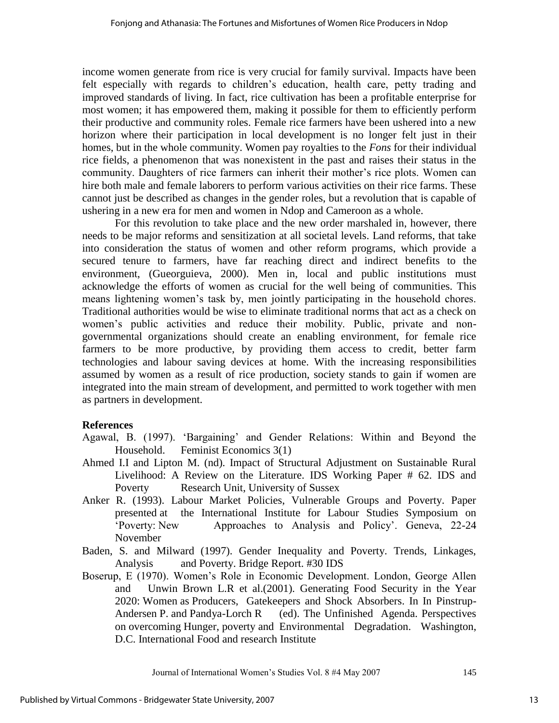income women generate from rice is very crucial for family survival. Impacts have been felt especially with regards to children"s education, health care, petty trading and improved standards of living. In fact, rice cultivation has been a profitable enterprise for most women; it has empowered them, making it possible for them to efficiently perform their productive and community roles. Female rice farmers have been ushered into a new horizon where their participation in local development is no longer felt just in their homes, but in the whole community. Women pay royalties to the *Fons* for their individual rice fields, a phenomenon that was nonexistent in the past and raises their status in the community. Daughters of rice farmers can inherit their mother"s rice plots. Women can hire both male and female laborers to perform various activities on their rice farms. These cannot just be described as changes in the gender roles, but a revolution that is capable of ushering in a new era for men and women in Ndop and Cameroon as a whole.

For this revolution to take place and the new order marshaled in, however, there needs to be major reforms and sensitization at all societal levels. Land reforms, that take into consideration the status of women and other reform programs, which provide a secured tenure to farmers, have far reaching direct and indirect benefits to the environment, (Gueorguieva, 2000). Men in, local and public institutions must acknowledge the efforts of women as crucial for the well being of communities. This means lightening women"s task by, men jointly participating in the household chores. Traditional authorities would be wise to eliminate traditional norms that act as a check on women"s public activities and reduce their mobility. Public, private and nongovernmental organizations should create an enabling environment, for female rice farmers to be more productive, by providing them access to credit, better farm technologies and labour saving devices at home. With the increasing responsibilities assumed by women as a result of rice production, society stands to gain if women are integrated into the main stream of development, and permitted to work together with men as partners in development.

## **References**

- Agawal, B. (1997). "Bargaining" and Gender Relations: Within and Beyond the Household. Feminist Economics 3(1)
- Ahmed I.I and Lipton M. (nd). Impact of Structural Adjustment on Sustainable Rural Livelihood: A Review on the Literature. IDS Working Paper # 62. IDS and Poverty Research Unit, University of Sussex
- Anker R. (1993). Labour Market Policies, Vulnerable Groups and Poverty. Paper presented at the International Institute for Labour Studies Symposium on "Poverty: New Approaches to Analysis and Policy". Geneva, 22-24 November
- Baden, S. and Milward (1997). Gender Inequality and Poverty. Trends, Linkages, Analysis and Poverty. Bridge Report. #30 IDS
- Boserup, E (1970). Women"s Role in Economic Development. London, George Allen and Unwin Brown L.R et al.(2001). Generating Food Security in the Year 2020: Women as Producers, Gatekeepers and Shock Absorbers. In In Pinstrup-Andersen P. and Pandya-Lorch R  $\qquad$  (ed). The Unfinished Agenda. Perspectives on overcoming Hunger, poverty and Environmental Degradation. Washington, D.C. International Food and research Institute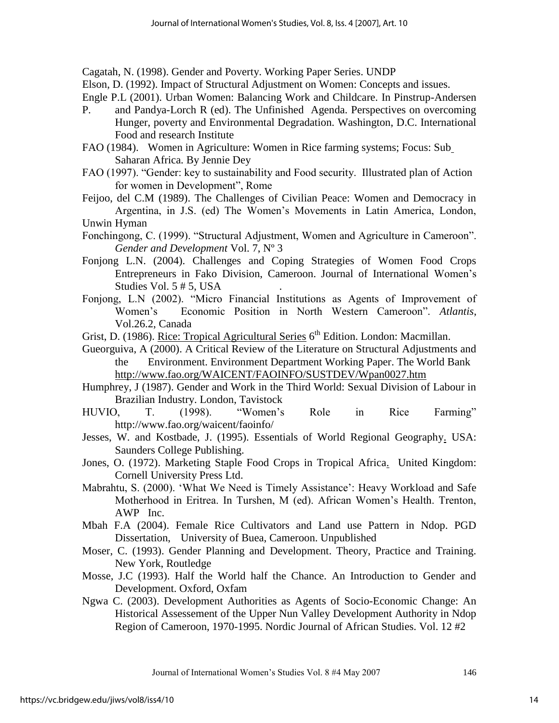Cagatah, N. (1998). Gender and Poverty. Working Paper Series. UNDP

Elson, D. (1992). Impact of Structural Adjustment on Women: Concepts and issues.

- Engle P.L (2001). Urban Women: Balancing Work and Childcare. In Pinstrup-Andersen
- P. and Pandya-Lorch R (ed). The Unfinished Agenda. Perspectives on overcoming Hunger, poverty and Environmental Degradation. Washington, D.C. International Food and research Institute
- FAO (1984). Women in Agriculture: Women in Rice farming systems; Focus: Sub Saharan Africa. By Jennie Dey
- FAO (1997). "Gender: key to sustainability and Food security. Illustrated plan of Action for women in Development", Rome
- Feijoo, del C.M (1989). The Challenges of Civilian Peace: Women and Democracy in Argentina, in J.S. (ed) The Women"s Movements in Latin America, London, Unwin Hyman
- Fonchingong, C. (1999). "Structural Adjustment, Women and Agriculture in Cameroon". *Gender and Development* Vol. 7, Nº 3
- Fonjong L.N. (2004). Challenges and Coping Strategies of Women Food Crops Entrepreneurs in Fako Division, Cameroon. Journal of International Women"s Studies Vol.  $5 \# 5$ , USA
- Fonjong, L.N (2002). "Micro Financial Institutions as Agents of Improvement of Women"s Economic Position in North Western Cameroon". *Atlantis*, Vol.26.2, Canada
- Grist, D. (1986). Rice: Tropical Agricultural Series 6<sup>th</sup> Edition. London: Macmillan.
- Gueorguiva, A (2000). A Critical Review of the Literature on Structural Adjustments and the Environment. Environment Department Working Paper. The World Bank <http://www.fao.org/WAICENT/FAOINFO/SUSTDEV/Wpan0027.htm>
- Humphrey, J (1987). Gender and Work in the Third World: Sexual Division of Labour in Brazilian Industry. London, Tavistock
- HUVIO, T. (1998). "Women"s Role in Rice Farming" http://www.fao.org/waicent/faoinfo/
- Jesses, W. and Kostbade, J. (1995). Essentials of World Regional Geography. USA: Saunders College Publishing.
- Jones, O. (1972). Marketing Staple Food Crops in Tropical Africa. United Kingdom: Cornell University Press Ltd.
- Mabrahtu, S. (2000). "What We Need is Timely Assistance": Heavy Workload and Safe Motherhood in Eritrea. In Turshen, M (ed). African Women"s Health. Trenton, AWP Inc.
- Mbah F.A (2004). Female Rice Cultivators and Land use Pattern in Ndop. PGD Dissertation, University of Buea, Cameroon. Unpublished
- Moser, C. (1993). Gender Planning and Development. Theory, Practice and Training. New York, Routledge
- Mosse, J.C (1993). Half the World half the Chance. An Introduction to Gender and Development. Oxford, Oxfam
- Ngwa C. (2003). Development Authorities as Agents of Socio-Economic Change: An Historical Assessement of the Upper Nun Valley Development Authority in Ndop Region of Cameroon, 1970-1995. Nordic Journal of African Studies. Vol. 12 #2